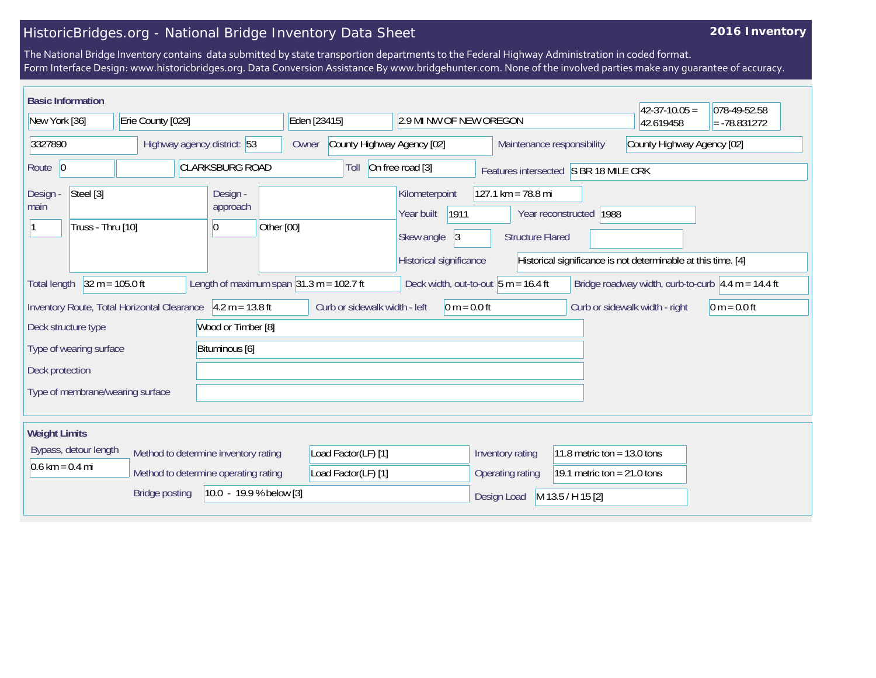## HistoricBridges.org - National Bridge Inventory Data Sheet

## **2016 Inventory**

The National Bridge Inventory contains data submitted by state transportion departments to the Federal Highway Administration in coded format. Form Interface Design: www.historicbridges.org. Data Conversion Assistance By www.bridgehunter.com. None of the involved parties make any guarantee of accuracy.

| <b>Basic Information</b>                                                  |                                             |                                                                   |                                                              |                                                                                     |                                                                 |                               | $42-37-10.05 =$                                                                   | 078-49-52.58   |
|---------------------------------------------------------------------------|---------------------------------------------|-------------------------------------------------------------------|--------------------------------------------------------------|-------------------------------------------------------------------------------------|-----------------------------------------------------------------|-------------------------------|-----------------------------------------------------------------------------------|----------------|
| New York [36]<br>Erie County [029]                                        |                                             | Eden [23415]<br>2.9 MI NW OF NEW OREGON                           |                                                              |                                                                                     |                                                                 | 42.619458                     | $= -78.831272$                                                                    |                |
| 3327890<br>Highway agency district: 53                                    |                                             |                                                                   | County Highway Agency [02]<br>Owner                          |                                                                                     | Maintenance responsibility                                      | County Highway Agency [02]    |                                                                                   |                |
| <b>CLARKSBURG ROAD</b><br>Route 0                                         |                                             | On free road [3]<br>Toll<br>Features intersected S BR 18 MILE CRK |                                                              |                                                                                     |                                                                 |                               |                                                                                   |                |
| Steel [3]<br>Design -<br>main<br>Truss - Thru [10]                        |                                             | Design -<br>approach<br>Other [00]<br>$\overline{0}$              |                                                              | Kilometerpoint<br>1911<br>Year built<br> 3<br>Skew angle<br>Historical significance | $127.1 \text{ km} = 78.8 \text{ mi}$<br><b>Structure Flared</b> | Year reconstructed 1988       | Historical significance is not determinable at this time. [4]                     |                |
| $32 m = 105.0 ft$<br><b>Total length</b>                                  |                                             |                                                                   | Length of maximum span $ 31.3 \text{ m} = 102.7 \text{ ft} $ | Deck width, out-to-out $5 m = 16.4 ft$                                              |                                                                 |                               | Bridge roadway width, curb-to-curb $\left 4.4 \text{ m} = 14.4 \text{ ft}\right $ |                |
|                                                                           | Inventory Route, Total Horizontal Clearance | $4.2 m = 13.8 ft$                                                 | Curb or sidewalk width - left                                | $0 m = 0.0 ft$                                                                      |                                                                 |                               | Curb or sidewalk width - right                                                    | $0 m = 0.0 ft$ |
| Deck structure type                                                       |                                             | Wood or Timber [8]                                                |                                                              |                                                                                     |                                                                 |                               |                                                                                   |                |
| Type of wearing surface<br>Bituminous [6]                                 |                                             |                                                                   |                                                              |                                                                                     |                                                                 |                               |                                                                                   |                |
| Deck protection                                                           |                                             |                                                                   |                                                              |                                                                                     |                                                                 |                               |                                                                                   |                |
| Type of membrane/wearing surface                                          |                                             |                                                                   |                                                              |                                                                                     |                                                                 |                               |                                                                                   |                |
| <b>Weight Limits</b>                                                      |                                             |                                                                   |                                                              |                                                                                     |                                                                 |                               |                                                                                   |                |
| Bypass, detour length                                                     | Method to determine inventory rating        |                                                                   | Load Factor(LF) [1]                                          |                                                                                     | Inventory rating                                                | 11.8 metric ton = $13.0$ tons |                                                                                   |                |
| $0.6 \text{ km} = 0.4 \text{ mi}$<br>Method to determine operating rating |                                             | Load Factor(LF) [1]                                               |                                                              | Operating rating                                                                    | 19.1 metric ton = $21.0$ tons                                   |                               |                                                                                   |                |
| <b>Bridge posting</b><br>$10.0 - 19.9 %$ below [3]                        |                                             |                                                                   |                                                              | Design Load                                                                         | M 13.5 / H 15 [2]                                               |                               |                                                                                   |                |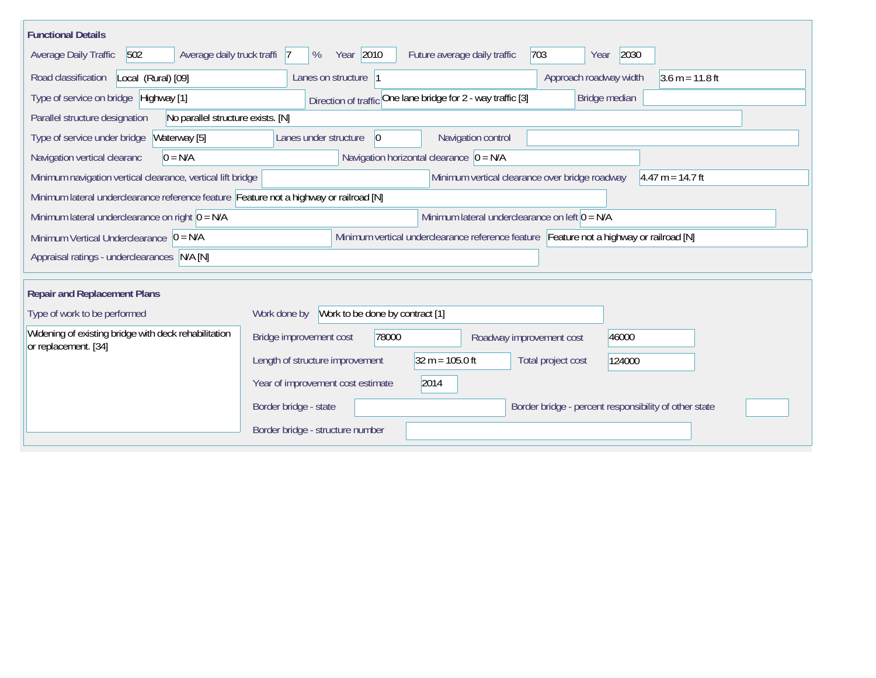| <b>Functional Details</b>                                                                                                             |                                                                                      |  |  |  |  |  |  |  |  |
|---------------------------------------------------------------------------------------------------------------------------------------|--------------------------------------------------------------------------------------|--|--|--|--|--|--|--|--|
| Average daily truck traffi<br>Average Daily Traffic<br>502                                                                            | Year 2010<br>703<br>2030<br>%<br>Future average daily traffic<br>- 17<br>Year        |  |  |  |  |  |  |  |  |
| Road classification<br>Local (Rural) [09]                                                                                             | $3.6 m = 11.8 ft$<br>Lanes on structure<br>Approach roadway width                    |  |  |  |  |  |  |  |  |
| Type of service on bridge Highway [1]                                                                                                 | Direction of traffic One lane bridge for 2 - way traffic [3]<br>Bridge median        |  |  |  |  |  |  |  |  |
| No parallel structure exists. [N]<br>Parallel structure designation                                                                   |                                                                                      |  |  |  |  |  |  |  |  |
| Type of service under bridge<br>Waterway [5]                                                                                          | Navigation control<br>Lanes under structure<br>$\vert 0 \vert$                       |  |  |  |  |  |  |  |  |
| $0 = N/A$<br>Navigation vertical clearanc                                                                                             | Navigation horizontal clearance $ 0 = N/A $                                          |  |  |  |  |  |  |  |  |
| Minimum navigation vertical clearance, vertical lift bridge                                                                           | Minimum vertical clearance over bridge roadway<br>$4.47 m = 14.7 ft$                 |  |  |  |  |  |  |  |  |
| Minimum lateral underclearance reference feature Feature not a highway or railroad [N]                                                |                                                                                      |  |  |  |  |  |  |  |  |
| Minimum lateral underclearance on left $0 = N/A$<br>Minimum lateral underclearance on right $0 = N/A$                                 |                                                                                      |  |  |  |  |  |  |  |  |
| Minimum vertical underclearance reference feature Feature not a highway or railroad [N]<br>Minimum Vertical Underclearance $ 0 = N/A$ |                                                                                      |  |  |  |  |  |  |  |  |
| Appraisal ratings - underclearances N/A [N]                                                                                           |                                                                                      |  |  |  |  |  |  |  |  |
|                                                                                                                                       |                                                                                      |  |  |  |  |  |  |  |  |
| <b>Repair and Replacement Plans</b>                                                                                                   |                                                                                      |  |  |  |  |  |  |  |  |
| Type of work to be performed                                                                                                          | Work to be done by contract [1]<br>Work done by                                      |  |  |  |  |  |  |  |  |
| Widening of existing bridge with deck rehabilitation<br>or replacement. [34]                                                          | Bridge improvement cost<br>78000<br>46000<br>Roadway improvement cost                |  |  |  |  |  |  |  |  |
|                                                                                                                                       | Length of structure improvement<br>$32 m = 105.0 ft$<br>Total project cost<br>124000 |  |  |  |  |  |  |  |  |
|                                                                                                                                       | 2014<br>Year of improvement cost estimate                                            |  |  |  |  |  |  |  |  |
|                                                                                                                                       | Border bridge - state<br>Border bridge - percent responsibility of other state       |  |  |  |  |  |  |  |  |
|                                                                                                                                       | Border bridge - structure number                                                     |  |  |  |  |  |  |  |  |